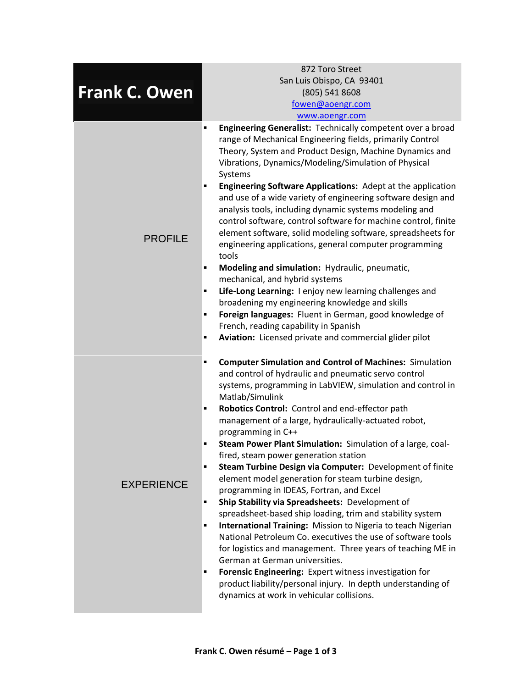|                      | 872 Toro Street                                                                                                                                                                                                                                                                                                                                                                                                                                                                                                                                                                                                                                                                                                                                                                                                                                                                                                                                                                                                                                                                                                                                                         |
|----------------------|-------------------------------------------------------------------------------------------------------------------------------------------------------------------------------------------------------------------------------------------------------------------------------------------------------------------------------------------------------------------------------------------------------------------------------------------------------------------------------------------------------------------------------------------------------------------------------------------------------------------------------------------------------------------------------------------------------------------------------------------------------------------------------------------------------------------------------------------------------------------------------------------------------------------------------------------------------------------------------------------------------------------------------------------------------------------------------------------------------------------------------------------------------------------------|
|                      | San Luis Obispo, CA 93401                                                                                                                                                                                                                                                                                                                                                                                                                                                                                                                                                                                                                                                                                                                                                                                                                                                                                                                                                                                                                                                                                                                                               |
| <b>Frank C. Owen</b> | (805) 541 8608                                                                                                                                                                                                                                                                                                                                                                                                                                                                                                                                                                                                                                                                                                                                                                                                                                                                                                                                                                                                                                                                                                                                                          |
|                      | fowen@aoengr.com                                                                                                                                                                                                                                                                                                                                                                                                                                                                                                                                                                                                                                                                                                                                                                                                                                                                                                                                                                                                                                                                                                                                                        |
|                      | www.aoengr.com                                                                                                                                                                                                                                                                                                                                                                                                                                                                                                                                                                                                                                                                                                                                                                                                                                                                                                                                                                                                                                                                                                                                                          |
| <b>PROFILE</b>       | Engineering Generalist: Technically competent over a broad<br>٠<br>range of Mechanical Engineering fields, primarily Control<br>Theory, System and Product Design, Machine Dynamics and<br>Vibrations, Dynamics/Modeling/Simulation of Physical<br>Systems<br>Engineering Software Applications: Adept at the application<br>п<br>and use of a wide variety of engineering software design and<br>analysis tools, including dynamic systems modeling and<br>control software, control software for machine control, finite<br>element software, solid modeling software, spreadsheets for<br>engineering applications, general computer programming<br>tools<br>Modeling and simulation: Hydraulic, pneumatic,<br>٠<br>mechanical, and hybrid systems<br>Life-Long Learning: I enjoy new learning challenges and<br>٠<br>broadening my engineering knowledge and skills<br>Foreign languages: Fluent in German, good knowledge of<br>п<br>French, reading capability in Spanish<br>Aviation: Licensed private and commercial glider pilot<br>٠                                                                                                                          |
| <b>EXPERIENCE</b>    | <b>Computer Simulation and Control of Machines: Simulation</b><br>٠<br>and control of hydraulic and pneumatic servo control<br>systems, programming in LabVIEW, simulation and control in<br>Matlab/Simulink<br>Robotics Control: Control and end-effector path<br>٠<br>management of a large, hydraulically-actuated robot,<br>programming in C++<br>Steam Power Plant Simulation: Simulation of a large, coal-<br>٠<br>fired, steam power generation station<br>Steam Turbine Design via Computer: Development of finite<br>٠<br>element model generation for steam turbine design,<br>programming in IDEAS, Fortran, and Excel<br>Ship Stability via Spreadsheets: Development of<br>٠<br>spreadsheet-based ship loading, trim and stability system<br>International Training: Mission to Nigeria to teach Nigerian<br>٠<br>National Petroleum Co. executives the use of software tools<br>for logistics and management. Three years of teaching ME in<br>German at German universities.<br>Forensic Engineering: Expert witness investigation for<br>٠<br>product liability/personal injury. In depth understanding of<br>dynamics at work in vehicular collisions. |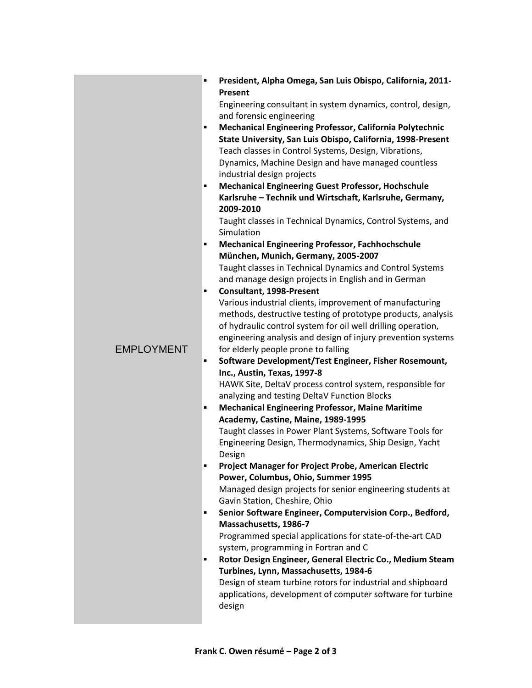| <b>EMPLOYMENT</b> | President, Alpha Omega, San Luis Obispo, California, 2011-<br>٠<br>Present<br>Engineering consultant in system dynamics, control, design,<br>and forensic engineering<br>Mechanical Engineering Professor, California Polytechnic<br>٠<br>State University, San Luis Obispo, California, 1998-Present<br>Teach classes in Control Systems, Design, Vibrations,<br>Dynamics, Machine Design and have managed countless<br>industrial design projects |
|-------------------|-----------------------------------------------------------------------------------------------------------------------------------------------------------------------------------------------------------------------------------------------------------------------------------------------------------------------------------------------------------------------------------------------------------------------------------------------------|
|                   | <b>Mechanical Engineering Guest Professor, Hochschule</b><br>٠<br>Karlsruhe - Technik und Wirtschaft, Karlsruhe, Germany,<br>2009-2010<br>Taught classes in Technical Dynamics, Control Systems, and<br>Simulation<br><b>Mechanical Engineering Professor, Fachhochschule</b><br>٠                                                                                                                                                                  |
|                   | München, Munich, Germany, 2005-2007                                                                                                                                                                                                                                                                                                                                                                                                                 |
|                   | Taught classes in Technical Dynamics and Control Systems<br>and manage design projects in English and in German                                                                                                                                                                                                                                                                                                                                     |
|                   | <b>Consultant, 1998-Present</b><br>٠<br>Various industrial clients, improvement of manufacturing<br>methods, destructive testing of prototype products, analysis<br>of hydraulic control system for oil well drilling operation,<br>engineering analysis and design of injury prevention systems<br>for elderly people prone to falling                                                                                                             |
|                   | Software Development/Test Engineer, Fisher Rosemount,<br>٠<br>Inc., Austin, Texas, 1997-8                                                                                                                                                                                                                                                                                                                                                           |
|                   | HAWK Site, DeltaV process control system, responsible for<br>analyzing and testing DeltaV Function Blocks                                                                                                                                                                                                                                                                                                                                           |
|                   | <b>Mechanical Engineering Professor, Maine Maritime</b><br>٠                                                                                                                                                                                                                                                                                                                                                                                        |
|                   | Academy, Castine, Maine, 1989-1995                                                                                                                                                                                                                                                                                                                                                                                                                  |
|                   | Taught classes in Power Plant Systems, Software Tools for<br>Engineering Design, Thermodynamics, Ship Design, Yacht                                                                                                                                                                                                                                                                                                                                 |
|                   | Design                                                                                                                                                                                                                                                                                                                                                                                                                                              |
|                   | $\blacksquare$<br><b>Project Manager for Project Probe, American Electric</b><br>Power, Columbus, Ohio, Summer 1995                                                                                                                                                                                                                                                                                                                                 |
|                   | Managed design projects for senior engineering students at                                                                                                                                                                                                                                                                                                                                                                                          |
|                   | Gavin Station, Cheshire, Ohio                                                                                                                                                                                                                                                                                                                                                                                                                       |
|                   | Senior Software Engineer, Computervision Corp., Bedford,<br>٠                                                                                                                                                                                                                                                                                                                                                                                       |
|                   | Massachusetts, 1986-7                                                                                                                                                                                                                                                                                                                                                                                                                               |
|                   | Programmed special applications for state-of-the-art CAD                                                                                                                                                                                                                                                                                                                                                                                            |
|                   | system, programming in Fortran and C<br>Rotor Design Engineer, General Electric Co., Medium Steam<br>٠                                                                                                                                                                                                                                                                                                                                              |
|                   | Turbines, Lynn, Massachusetts, 1984-6                                                                                                                                                                                                                                                                                                                                                                                                               |
|                   | Design of steam turbine rotors for industrial and shipboard                                                                                                                                                                                                                                                                                                                                                                                         |
|                   | applications, development of computer software for turbine<br>design                                                                                                                                                                                                                                                                                                                                                                                |